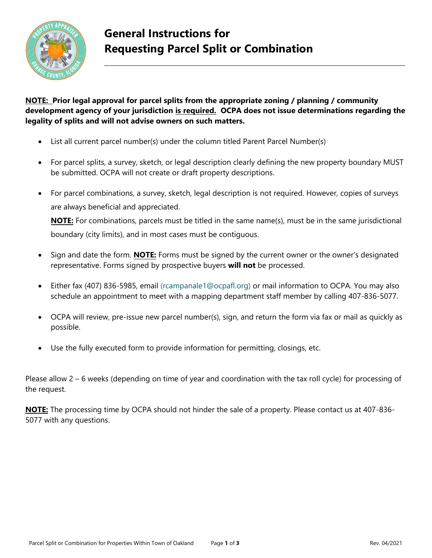

## **General Instructions for Requesting Parcel Split or Combination**

#### **NOTE: Prior legal approval for parcel splits from the appropriate zoning / planning / community development agency of your jurisdiction is required. OCPA does not issue determinations regarding the legality of splits and will not advise owners on such matters.**

- List all current parcel number(s) under the column titled Parent Parcel Number(s)
- For parcel splits, a survey, sketch, or legal description clearly defining the new property boundary MUST be submitted. OCPA will not create or draft property descriptions.
- For parcel combinations, a survey, sketch, legal description is not required. However, copies of surveys are always beneficial and appreciated.

**NOTE:** For combinations, parcels must be titled in the same name(s), must be in the same jurisdictional boundary (city limits), and in most cases must be contiguous.

- Sign and date the form. **NOTE:** Forms must be signed by the current owner or the owner's designated representative. Forms signed by prospective buyers **will not** be processed.
- Either fax (407) 836-5985, email (rcampanale1@ocpafl.org) or mail information to OCPA. You may also schedule an appointment to meet with a mapping department staff member by calling 407-836-5077.
- OCPA will review, pre-issue new parcel number(s), sign, and return the form via fax or mail as quickly as possible.
- Use the fully executed form to provide information for permitting, closings, etc.

Please allow 2 – 6 weeks (depending on time of year and coordination with the tax roll cycle) for processing of the request.

**NOTE:** The processing time by OCPA should not hinder the sale of a property. Please contact us at 407-836- 5077 with any questions.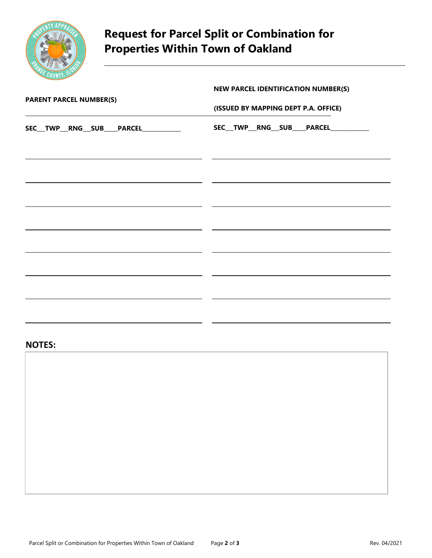

# **Request for Parcel Split or Combination for Properties Within Town of Oakland**

|                                                | NEW PARCEL IDENTIFICATION NUMBER(S)    |  |
|------------------------------------------------|----------------------------------------|--|
| <b>PARENT PARCEL NUMBER(S)</b>                 | (ISSUED BY MAPPING DEPT P.A. OFFICE)   |  |
| SEC__TWP__RNG__SUB____PARCEL____________       | SEC__TWP__RNG__SUB____PARCEL__________ |  |
|                                                |                                        |  |
|                                                |                                        |  |
|                                                |                                        |  |
|                                                |                                        |  |
|                                                |                                        |  |
|                                                |                                        |  |
| <u> 1989 - Johann Stoff, Amerikaansk konst</u> |                                        |  |

#### **NOTES:**